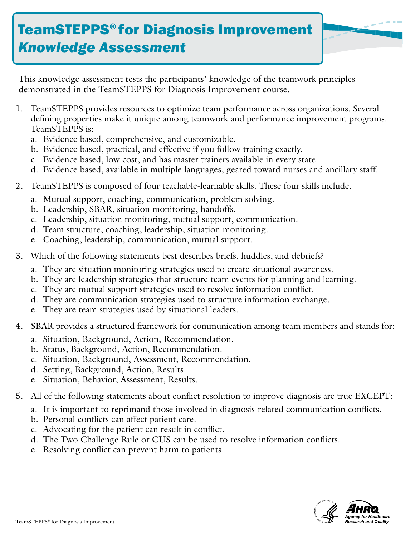## TeamSTEPPS® for Diagnosis Improvement *Knowledge Assessment*

This knowledge assessment tests the participants' knowledge of the teamwork principles demonstrated in the TeamSTEPPS for Diagnosis Improvement course.

- 1. TeamSTEPPS provides resources to optimize team performance across organizations. Several defining properties make it unique among teamwork and performance improvement programs. TeamSTEPPS is:
	- a. Evidence based, comprehensive, and customizable.
	- b. Evidence based, practical, and effective if you follow training exactly.
	- c. Evidence based, low cost, and has master trainers available in every state.
	- d. Evidence based, available in multiple languages, geared toward nurses and ancillary staff.
- 2. TeamSTEPPS is composed of four teachable-learnable skills. These four skills include.
	- a. Mutual support, coaching, communication, problem solving.
	- b. Leadership, SBAR, situation monitoring, handoffs.
	- c. Leadership, situation monitoring, mutual support, communication.
	- d. Team structure, coaching, leadership, situation monitoring.
	- e. Coaching, leadership, communication, mutual support.
- 3. Which of the following statements best describes briefs, huddles, and debriefs?
	- a. They are situation monitoring strategies used to create situational awareness.
	- b. They are leadership strategies that structure team events for planning and learning.
	- c. They are mutual support strategies used to resolve information conflict.
	- d. They are communication strategies used to structure information exchange.
	- e. They are team strategies used by situational leaders.
- 4. SBAR provides a structured framework for communication among team members and stands for:
	- a. Situation, Background, Action, Recommendation.
	- b. Status, Background, Action, Recommendation.
	- c. Situation, Background, Assessment, Recommendation.
	- d. Setting, Background, Action, Results.
	- e. Situation, Behavior, Assessment, Results.
- 5. All of the following statements about conflict resolution to improve diagnosis are true EXCEPT:
	- a. It is important to reprimand those involved in diagnosis-related communication conflicts.
	- b. Personal conflicts can affect patient care.
	- c. Advocating for the patient can result in conflict.
	- d. The Two Challenge Rule or CUS can be used to resolve information conflicts.
	- e. Resolving conflict can prevent harm to patients.

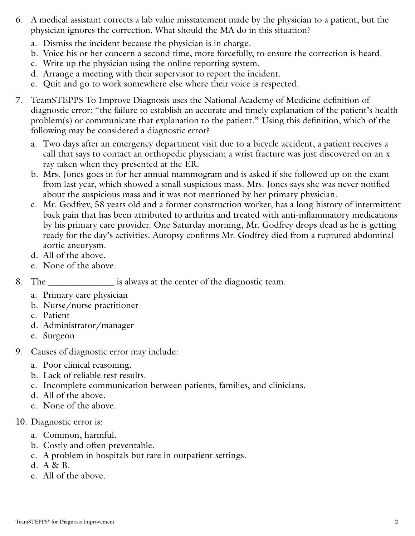- 6. A medical assistant corrects a lab value misstatement made by the physician to a patient, but the physician ignores the correction. What should the MA do in this situation?
	- a. Dismiss the incident because the physician is in charge.
	- b. Voice his or her concern a second time, more forcefully, to ensure the correction is heard.
	- c. Write up the physician using the online reporting system.
	- d. Arrange a meeting with their supervisor to report the incident.
	- e. Quit and go to work somewhere else where their voice is respected.
- 7. TeamSTEPPS To Improve Diagnosis uses the National Academy of Medicine definition of diagnostic error: "the failure to establish an accurate and timely explanation of the patient's health problem(s) or communicate that explanation to the patient." Using this definition, which of the following may be considered a diagnostic error?
	- a. Two days after an emergency department visit due to a bicycle accident, a patient receives a call that says to contact an orthopedic physician; a wrist fracture was just discovered on an x ray taken when they presented at the ER.
	- b. Mrs. Jones goes in for her annual mammogram and is asked if she followed up on the exam from last year, which showed a small suspicious mass. Mrs. Jones says she was never notified about the suspicious mass and it was not mentioned by her primary physician.
	- c. Mr. Godfrey, 58 years old and a former construction worker, has a long history of intermittent back pain that has been attributed to arthritis and treated with anti-inflammatory medications by his primary care provider. One Saturday morning, Mr. Godfrey drops dead as he is getting ready for the day's activities. Autopsy confirms Mr. Godfrey died from a ruptured abdominal aortic aneurysm.
	- d. All of the above.
	- e. None of the above.
- 8. The \_\_\_\_\_\_\_\_\_\_\_\_\_\_\_ is always at the center of the diagnostic team.
	- a. Primary care physician
	- b. Nurse/nurse practitioner
	- c. Patient
	- d. Administrator/manager
	- e. Surgeon
- 9. Causes of diagnostic error may include:
	- a. Poor clinical reasoning.
	- b. Lack of reliable test results.
	- c. Incomplete communication between patients, families, and clinicians.
	- d. All of the above.
	- e. None of the above.
- 10. Diagnostic error is:
	- a. Common, harmful.
	- b. Costly and often preventable.
	- c. A problem in hospitals but rare in outpatient settings.
	- d. A & B.
	- e. All of the above.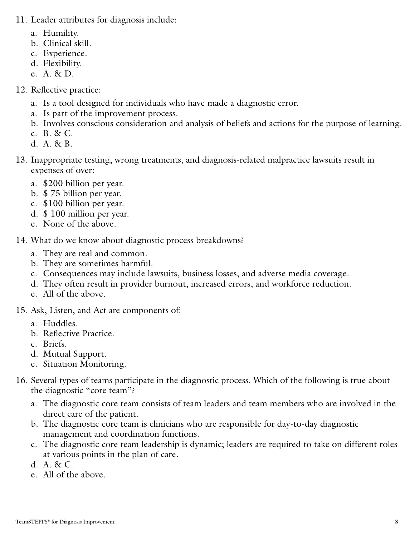- 11. Leader attributes for diagnosis include:
	- a. Humility.
	- b. Clinical skill.
	- c. Experience.
	- d. Flexibility.
	- e. A. & D.

## 12. Reflective practice:

- a. Is a tool designed for individuals who have made a diagnostic error.
- a. Is part of the improvement process.
- b. Involves conscious consideration and analysis of beliefs and actions for the purpose of learning.
- c. B. & C.
- d. A. & B.
- 13. Inappropriate testing, wrong treatments, and diagnosis-related malpractice lawsuits result in expenses of over:
	- a. \$200 billion per year.
	- b. \$ 75 billion per year.
	- c. \$100 billion per year.
	- d. \$ 100 million per year.
	- e. None of the above.

## 14. What do we know about diagnostic process breakdowns?

- a. They are real and common.
- b. They are sometimes harmful.
- c. Consequences may include lawsuits, business losses, and adverse media coverage.
- d. They often result in provider burnout, increased errors, and workforce reduction.
- e. All of the above.

## 15. Ask, Listen, and Act are components of:

- a. Huddles.
- b. Reflective Practice.
- c. Briefs.
- d. Mutual Support.
- e. Situation Monitoring.
- 16. Several types of teams participate in the diagnostic process. Which of the following is true about the diagnostic "core team"?
	- a. The diagnostic core team consists of team leaders and team members who are involved in the direct care of the patient.
	- b. The diagnostic core team is clinicians who are responsible for day-to-day diagnostic management and coordination functions.
	- c. The diagnostic core team leadership is dynamic; leaders are required to take on different roles at various points in the plan of care.
	- d. A. & C.
	- e. All of the above.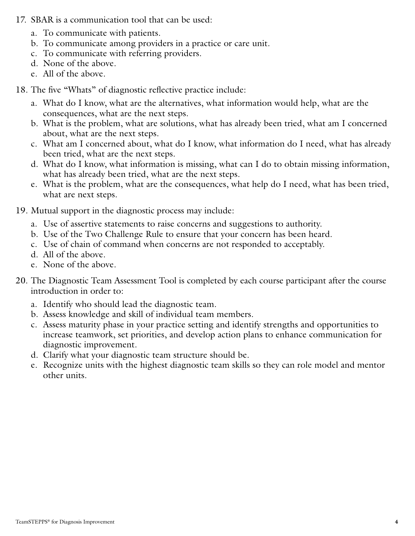- 17. SBAR is a communication tool that can be used:
	- a. To communicate with patients.
	- b. To communicate among providers in a practice or care unit.
	- c. To communicate with referring providers.
	- d. None of the above.
	- e. All of the above.

18. The five "Whats" of diagnostic reflective practice include:

- a. What do I know, what are the alternatives, what information would help, what are the consequences, what are the next steps.
- b. What is the problem, what are solutions, what has already been tried, what am I concerned about, what are the next steps.
- c. What am I concerned about, what do I know, what information do I need, what has already been tried, what are the next steps.
- d. What do I know, what information is missing, what can I do to obtain missing information, what has already been tried, what are the next steps.
- e. What is the problem, what are the consequences, what help do I need, what has been tried, what are next steps.
- 19. Mutual support in the diagnostic process may include:
	- a. Use of assertive statements to raise concerns and suggestions to authority.
	- b. Use of the Two Challenge Rule to ensure that your concern has been heard.
	- c. Use of chain of command when concerns are not responded to acceptably.
	- d. All of the above.
	- e. None of the above.
- 20. The Diagnostic Team Assessment Tool is completed by each course participant after the course introduction in order to:
	- a. Identify who should lead the diagnostic team.
	- b. Assess knowledge and skill of individual team members.
	- c. Assess maturity phase in your practice setting and identify strengths and opportunities to increase teamwork, set priorities, and develop action plans to enhance communication for diagnostic improvement.
	- d. Clarify what your diagnostic team structure should be.
	- e. Recognize units with the highest diagnostic team skills so they can role model and mentor other units.